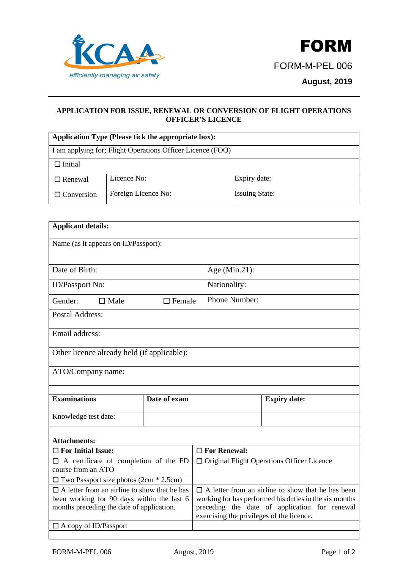

## **APPLICATION FOR ISSUE, RENEWAL OR CONVERSION OF FLIGHT OPERATIONS OFFICER'S LICENCE**

| Application Type (Please tick the appropriate box):        |                     |                       |  |  |  |  |
|------------------------------------------------------------|---------------------|-----------------------|--|--|--|--|
| I am applying for; Flight Operations Officer Licence (FOO) |                     |                       |  |  |  |  |
| $\square$ Initial                                          |                     |                       |  |  |  |  |
| $\Box$ Renewal                                             | Licence No:         | Expiry date:          |  |  |  |  |
| $\Box$ Conversion                                          | Foreign Licence No: | <b>Issuing State:</b> |  |  |  |  |

| <b>Applicant details:</b>                                                                                                                      |              |                                                                                                                                                                                                                  |                     |  |  |  |
|------------------------------------------------------------------------------------------------------------------------------------------------|--------------|------------------------------------------------------------------------------------------------------------------------------------------------------------------------------------------------------------------|---------------------|--|--|--|
| Name (as it appears on ID/Passport):                                                                                                           |              |                                                                                                                                                                                                                  |                     |  |  |  |
| Date of Birth:                                                                                                                                 |              | Age (Min.21):                                                                                                                                                                                                    |                     |  |  |  |
| <b>ID/Passport No:</b>                                                                                                                         |              | Nationality:                                                                                                                                                                                                     |                     |  |  |  |
| Gender:<br>$\Box$ Male<br>$\Box$ Female                                                                                                        |              | Phone Number:                                                                                                                                                                                                    |                     |  |  |  |
| <b>Postal Address:</b>                                                                                                                         |              |                                                                                                                                                                                                                  |                     |  |  |  |
| Email address:                                                                                                                                 |              |                                                                                                                                                                                                                  |                     |  |  |  |
| Other licence already held (if applicable):                                                                                                    |              |                                                                                                                                                                                                                  |                     |  |  |  |
| ATO/Company name:                                                                                                                              |              |                                                                                                                                                                                                                  |                     |  |  |  |
| <b>Examinations</b>                                                                                                                            | Date of exam |                                                                                                                                                                                                                  | <b>Expiry date:</b> |  |  |  |
| Knowledge test date:                                                                                                                           |              |                                                                                                                                                                                                                  |                     |  |  |  |
| <b>Attachments:</b>                                                                                                                            |              |                                                                                                                                                                                                                  |                     |  |  |  |
| $\Box$ For Initial Issue:                                                                                                                      |              | $\Box$ For Renewal:                                                                                                                                                                                              |                     |  |  |  |
| $\Box$ A certificate of completion of the FD<br>course from an ATO                                                                             |              | $\Box$ Original Flight Operations Officer Licence                                                                                                                                                                |                     |  |  |  |
| $\Box$ Two Passport size photos (2cm $*$ 2.5cm)                                                                                                |              |                                                                                                                                                                                                                  |                     |  |  |  |
| $\Box$ A letter from an airline to show that he has<br>been working for 90 days within the last 6<br>months preceding the date of application. |              | $\Box$ A letter from an airline to show that he has been<br>working for has performed his duties in the six months<br>preceding the date of application for renewal<br>exercising the privileges of the licence. |                     |  |  |  |
| $\Box$ A copy of ID/Passport                                                                                                                   |              |                                                                                                                                                                                                                  |                     |  |  |  |